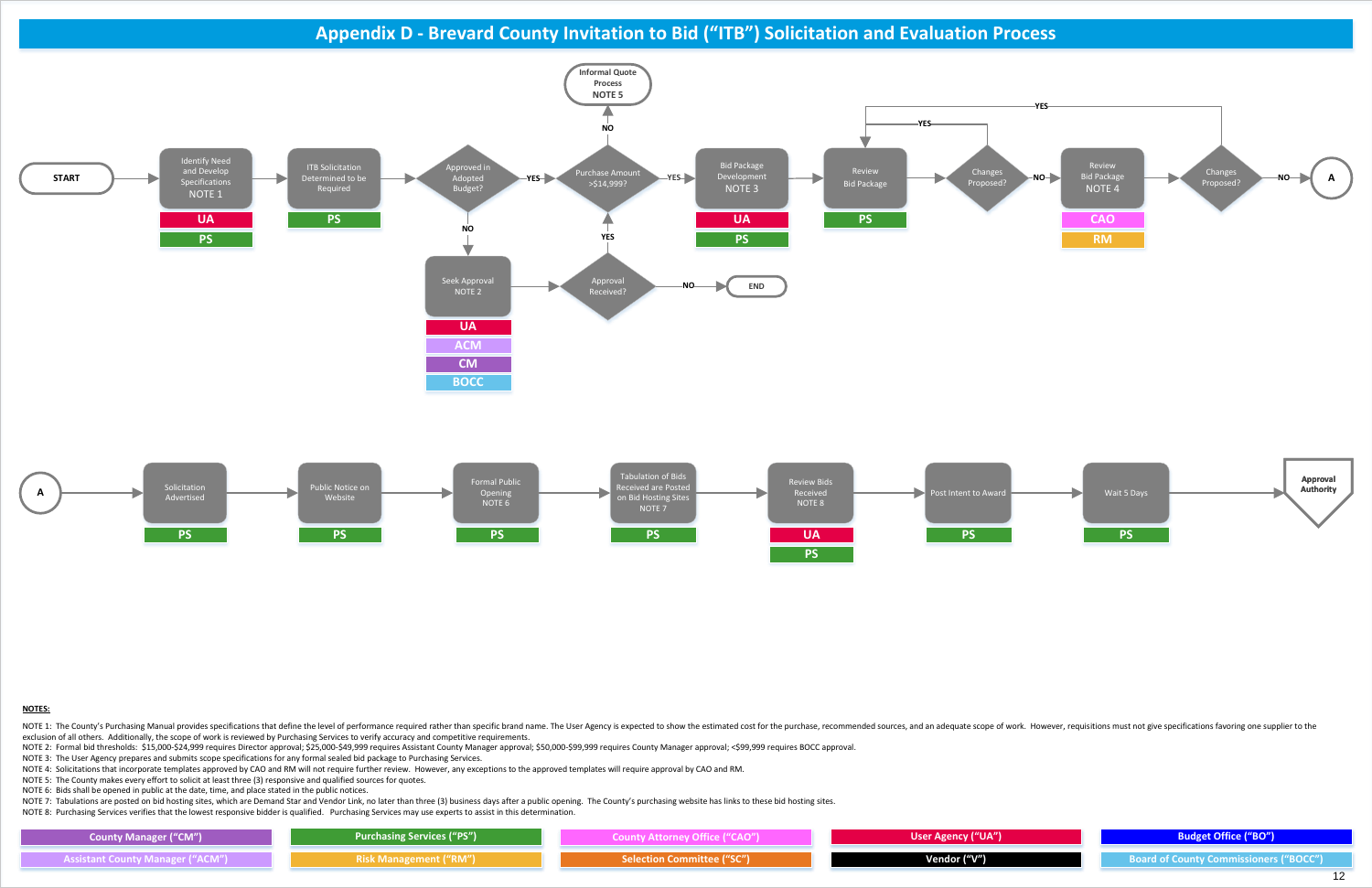### **NOTES:**

NOTE 1: The County's Purchasing Manual provides specifications that define the level of performance required rather than specific brand name. The User Agency is expected to show the estimated cost for the purchase, recomme exclusion of all others. Additionally, the scope of work is reviewed by Purchasing Services to verify accuracy and competitive requirements.

NOTE 2: Formal bid thresholds: \$15,000-\$24,999 requires Director approval; \$25,000-\$49,999 requires Assistant County Manager approval; \$50,000-\$99,999 requires County Manager approval; <\$99,999 requires BOCC approval.

NOTE 3: The User Agency prepares and submits scope specifications for any formal sealed bid package to Purchasing Services.

NOTE 4: Solicitations that incorporate templates approved by CAO and RM will not require further review. However, any exceptions to the approved templates will require approval by CAO and RM.

NOTE 5: The County makes every effort to solicit at least three (3) responsive and qualified sources for quotes.

NOTE 6: Bids shall be opened in public at the date, time, and place stated in the public notices.

NOTE 7: Tabulations are posted on bid hosting sites, which are Demand Star and Vendor Link, no later than three (3) business days after a public opening. The County's purchasing website has links to these bid hosting sites

NOTE 8: Purchasing Services verifies that the lowest responsive bidder is qualified. Purchasing Services may use experts to assist in this determination.

**Appendix D - Brevard County Invitation to Bid ("ITB") Solicitation and Evaluation Process**

<span id="page-0-0"></span>

| <b>County Manager ("CM")</b>            | <b>Purchasing Services ("PS")</b> | County Attorney Office ("CAO") | User Agency ("UA") |
|-----------------------------------------|-----------------------------------|--------------------------------|--------------------|
| <b>Assistant County Manager ("ACM")</b> | <b>Risk Management ("RM")</b>     | Selection Committee ("SC") \   | Vendor ("V")       |

**Assistant County Manager ("ACM") Selection Committee ("SC") Vendor ("V") Board of County Commissioners ("BOCC")**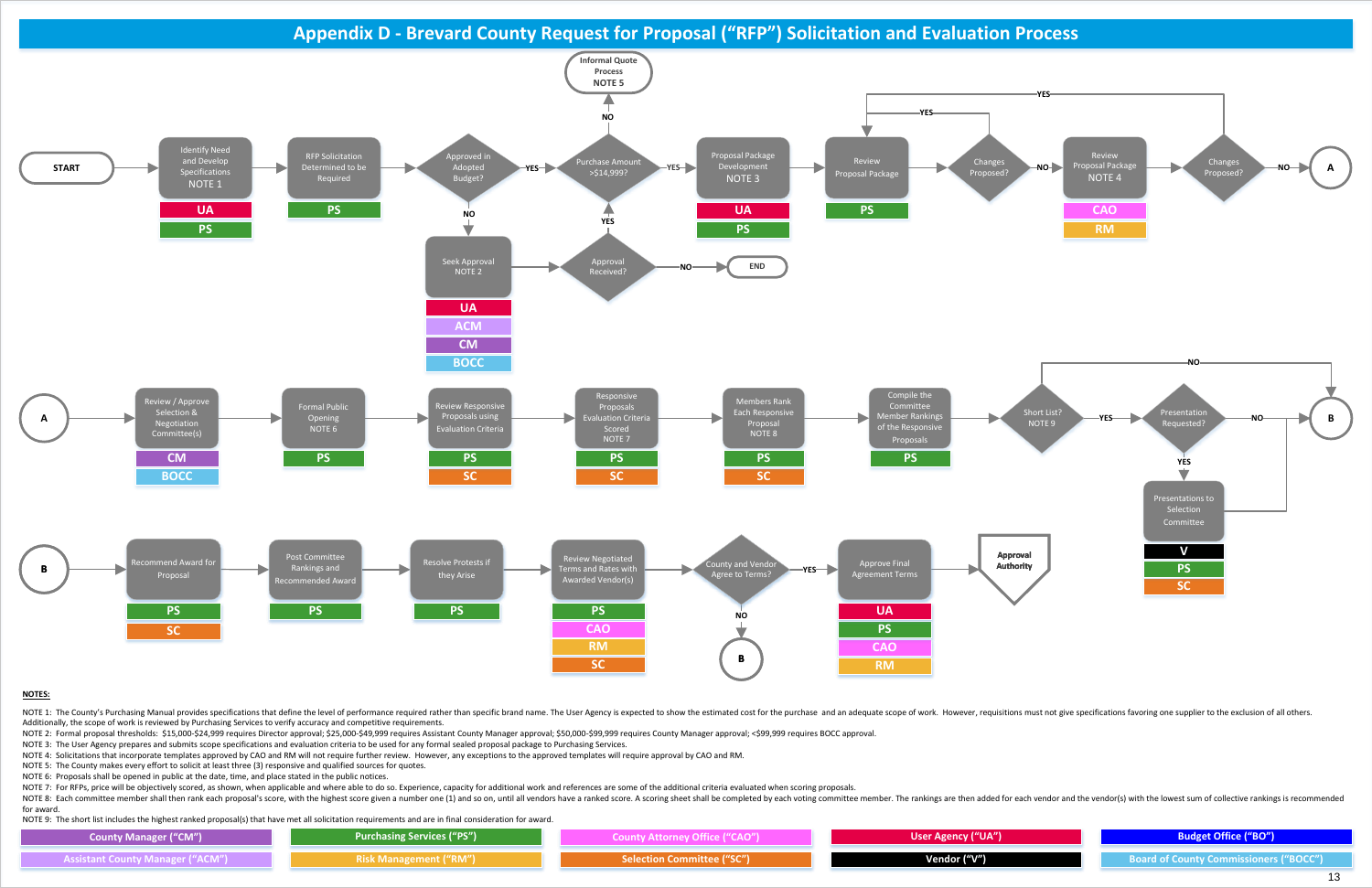## **NOTES:**

NOTE 1: The County's Purchasing Manual provides specifications that define the level of performance required rather than specific brand name. The User Agency is expected to show the estimated cost for the purchase and an a Additionally, the scope of work is reviewed by Purchasing Services to verify accuracy and competitive requirements.

NOTE 2: Formal proposal thresholds: \$15,000-\$24,999 requires Director approval; \$25,000-\$49,999 requires Assistant County Manager approval; \$50,000-\$99,999 requires County Manager approval; <\$99,999 requires BOCC approval.

NOTE 3: The User Agency prepares and submits scope specifications and evaluation criteria to be used for any formal sealed proposal package to Purchasing Services.

NOTE 4: Solicitations that incorporate templates approved by CAO and RM will not require further review. However, any exceptions to the approved templates will require approval by CAO and RM.

NOTE 8: Each committee member shall then rank each proposal's score, with the highest score given a number one (1) and so on, until all vendors have a ranked score. A scoring sheet shall be completed by each voting committ for award.

NOTE 5: The County makes every effort to solicit at least three (3) responsive and qualified sources for quotes.

NOTE 6: Proposals shall be opened in public at the date, time, and place stated in the public notices.

NOTE 7: For RFPs, price will be objectively scored, as shown, when applicable and where able to do so. Experience, capacity for additional work and references are some of the additional criteria evaluated when scoring prop

**Appendix D - Brevard County Request for Proposal ("RFP") Solicitation and Evaluation Process**

<span id="page-1-0"></span>

NOTE 9: The short list includes the highest ranked proposal(s) that have met all solicitation requirements and are in final consideration for award.

| <b>County Manager ("CM")</b>            | <b>Purchasing Services ("PS")</b> | County Attorney Office ("CAO")    | User Agency ("UA") |
|-----------------------------------------|-----------------------------------|-----------------------------------|--------------------|
| <b>Assistant County Manager ("ACM")</b> | Risk Management ("RM")            | <b>Selection Committee ("SC")</b> | Vendor ("V")       |



**Assistant County Manager ("ACM") Selection Committee ("SC") Vendor ("V") Board of County Commissioners ("BOCC")**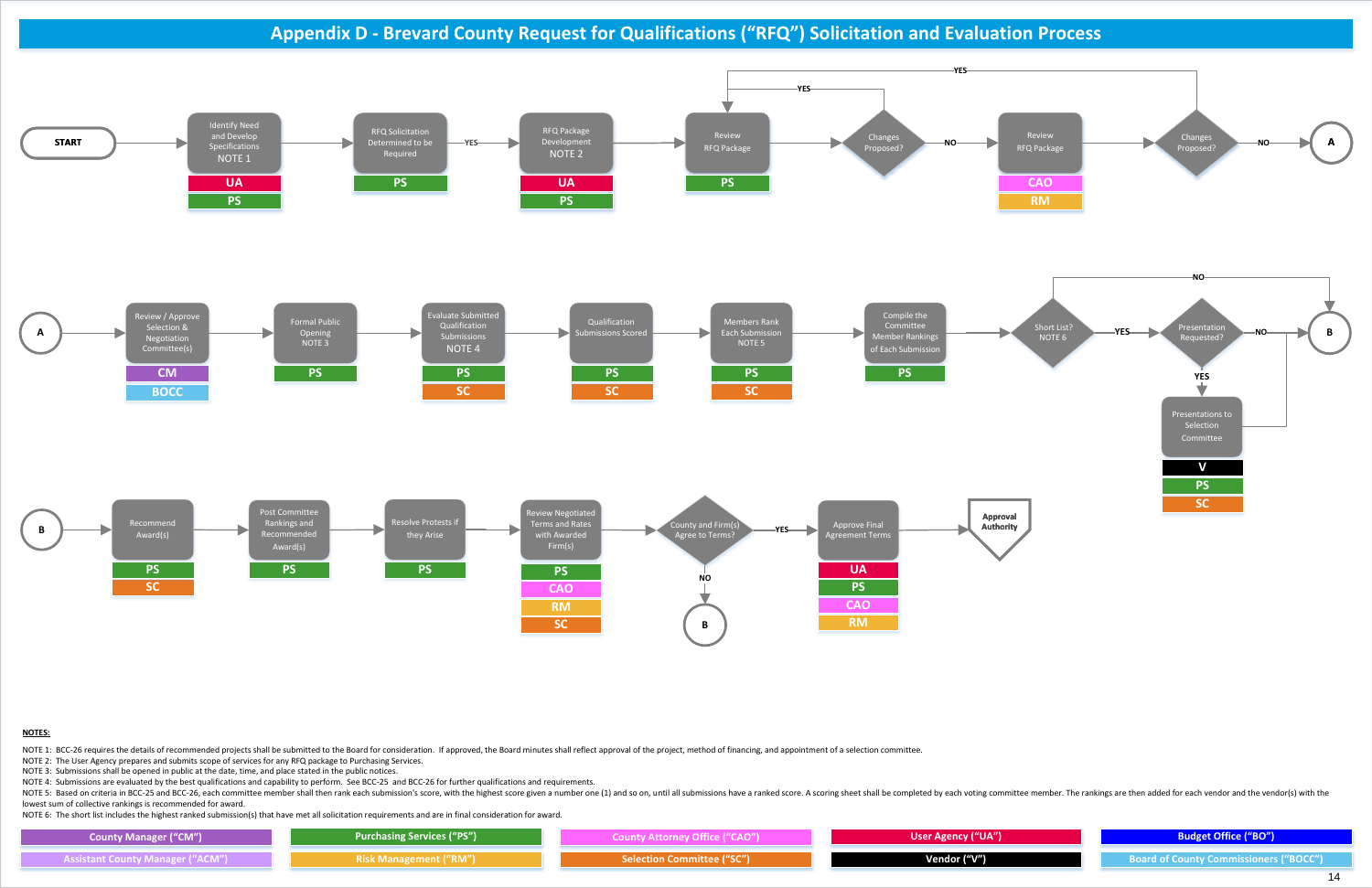### **NOTES:**

NOTE 1: BCC-26 requires the details of recommended projects shall be submitted to the Board for consideration. If approved, the Board minutes shall reflect approval of the project, method of financing, and appointment of a

NOTE 2: The User Agency prepares and submits scope of services for any RFQ package to Purchasing Services.

NOTE 3: Submissions shall be opened in public at the date, time, and place stated in the public notices.

NOTE 5: Based on criteria in BCC-25 and BCC-26, each committee member shall then rank each submission's score, with the highest score, with the highest score given a number one (1) and so on, until all submissions have a r lowest sum of collective rankings is recommended for award.

NOTE 4: Submissions are evaluated by the best qualifications and capability to perform. See BCC-25 and BCC-26 for further qualifications and requirements.

**Appendix D - Brevard County Request for Qualifications ("RFQ") Solicitation and Evaluation Process**



NOTE 6: The short list includes the highest ranked submission(s) that have met all solicitation requirements and are in final consideration for award.

| <b>County Manager ("CM")</b>            | Purchasing Services ("PS")    | County Attorney Office ("CAO")    | User Agency ("UA") |
|-----------------------------------------|-------------------------------|-----------------------------------|--------------------|
| <b>Assistant County Manager ("ACM")</b> | <b>Risk Management ("RM")</b> | <b>Selection Committee ("SC")</b> | Vendor ("V")       |





**Assistant County Manager ("ACM") Selection Committee ("SC") Vendor ("V") Board of County Commissioners ("BOCC")**